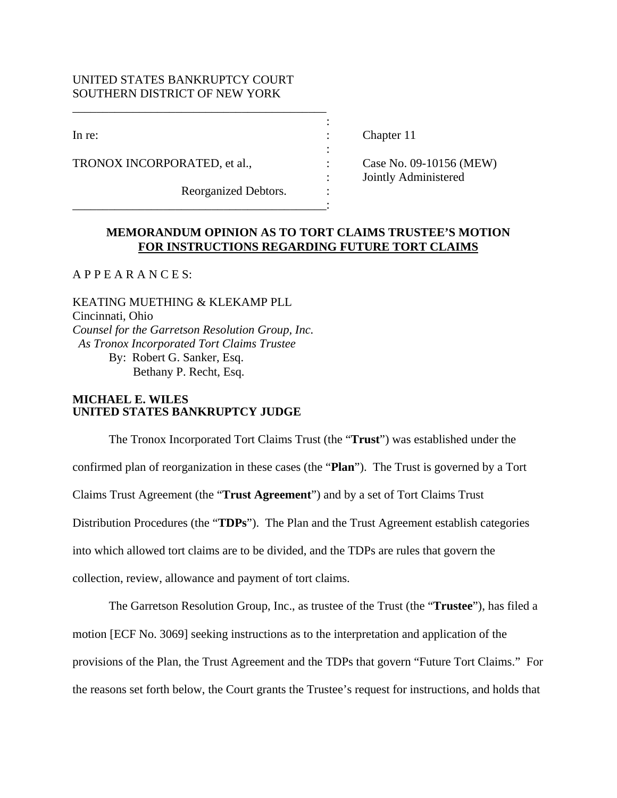## UNITED STATES BANKRUPTCY COURT SOUTHERN DISTRICT OF NEW YORK

\_\_\_\_\_\_\_\_\_\_\_\_\_\_\_\_\_\_\_\_\_\_\_\_\_\_\_\_\_\_\_\_\_\_\_\_\_\_\_\_\_\_

the contract of the contract of the contract of the contract of the contract of

\_\_\_\_\_\_\_\_\_\_\_\_\_\_\_\_\_\_\_\_\_\_\_\_\_\_\_\_\_\_\_\_\_\_\_\_\_\_\_\_\_\_:

TRONOX INCORPORATED, et al.,  $\qquad \qquad$  : Case No. 09-10156 (MEW)

Reorganized Debtors.

In re: Chapter 11

: Jointly Administered

# **MEMORANDUM OPINION AS TO TORT CLAIMS TRUSTEE'S MOTION FOR INSTRUCTIONS REGARDING FUTURE TORT CLAIMS**

:

 $APPE A R A N C E S$ 

KEATING MUETHING & KLEKAMP PLL Cincinnati, Ohio *Counsel for the Garretson Resolution Group, Inc. As Tronox Incorporated Tort Claims Trustee*  By: Robert G. Sanker, Esq. Bethany P. Recht, Esq.

## **MICHAEL E. WILES UNITED STATES BANKRUPTCY JUDGE**

The Tronox Incorporated Tort Claims Trust (the "**Trust**") was established under the confirmed plan of reorganization in these cases (the "**Plan**"). The Trust is governed by a Tort Claims Trust Agreement (the "**Trust Agreement**") and by a set of Tort Claims Trust Distribution Procedures (the "**TDPs**"). The Plan and the Trust Agreement establish categories into which allowed tort claims are to be divided, and the TDPs are rules that govern the collection, review, allowance and payment of tort claims.

The Garretson Resolution Group, Inc., as trustee of the Trust (the "**Trustee**"), has filed a motion [ECF No. 3069] seeking instructions as to the interpretation and application of the provisions of the Plan, the Trust Agreement and the TDPs that govern "Future Tort Claims." For the reasons set forth below, the Court grants the Trustee's request for instructions, and holds that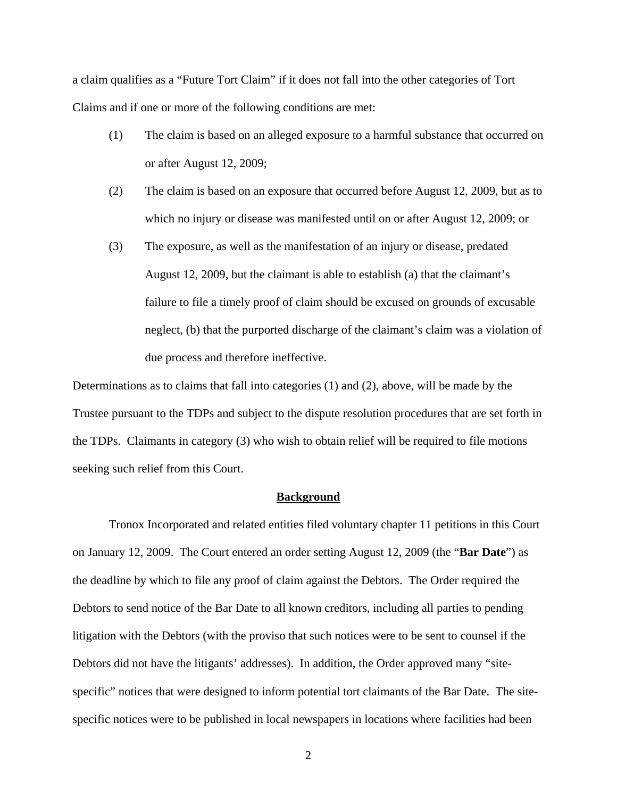a claim qualifies as a "Future Tort Claim" if it does not fall into the other categories of Tort Claims and if one or more of the following conditions are met:

- (1) The claim is based on an alleged exposure to a harmful substance that occurred on or after August 12, 2009;
- (2) The claim is based on an exposure that occurred before August 12, 2009, but as to which no injury or disease was manifested until on or after August 12, 2009; or
- (3) The exposure, as well as the manifestation of an injury or disease, predated August 12, 2009, but the claimant is able to establish (a) that the claimant's failure to file a timely proof of claim should be excused on grounds of excusable neglect, (b) that the purported discharge of the claimant's claim was a violation of due process and therefore ineffective.

Determinations as to claims that fall into categories (1) and (2), above, will be made by the Trustee pursuant to the TDPs and subject to the dispute resolution procedures that are set forth in the TDPs. Claimants in category (3) who wish to obtain relief will be required to file motions seeking such relief from this Court.

### **Background**

Tronox Incorporated and related entities filed voluntary chapter 11 petitions in this Court on January 12, 2009. The Court entered an order setting August 12, 2009 (the "**Bar Date**") as the deadline by which to file any proof of claim against the Debtors. The Order required the Debtors to send notice of the Bar Date to all known creditors, including all parties to pending litigation with the Debtors (with the proviso that such notices were to be sent to counsel if the Debtors did not have the litigants' addresses). In addition, the Order approved many "sitespecific" notices that were designed to inform potential tort claimants of the Bar Date. The sitespecific notices were to be published in local newspapers in locations where facilities had been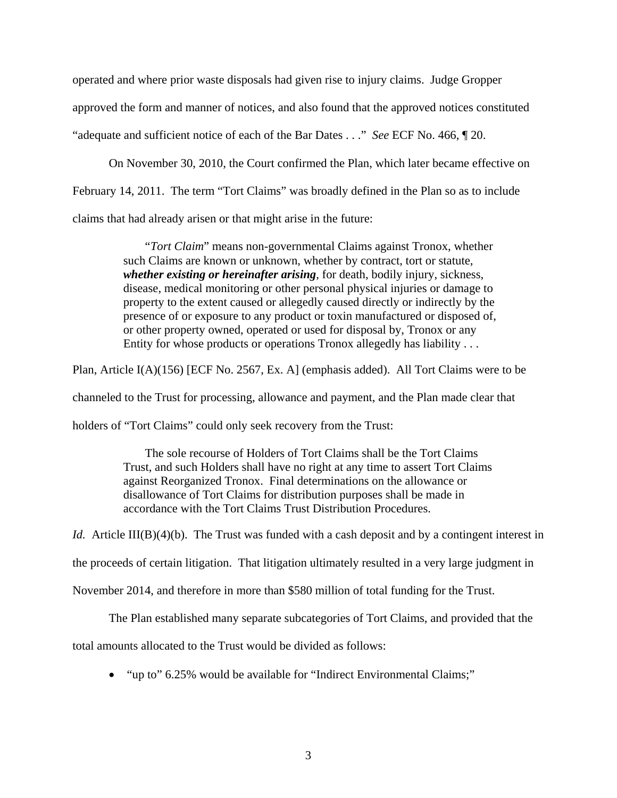operated and where prior waste disposals had given rise to injury claims. Judge Gropper approved the form and manner of notices, and also found that the approved notices constituted "adequate and sufficient notice of each of the Bar Dates . . ." *See* ECF No. 466, ¶ 20.

On November 30, 2010, the Court confirmed the Plan, which later became effective on February 14, 2011. The term "Tort Claims" was broadly defined in the Plan so as to include claims that had already arisen or that might arise in the future:

> "*Tort Claim*" means non-governmental Claims against Tronox, whether such Claims are known or unknown, whether by contract, tort or statute, *whether existing or hereinafter arising*, for death, bodily injury, sickness, disease, medical monitoring or other personal physical injuries or damage to property to the extent caused or allegedly caused directly or indirectly by the presence of or exposure to any product or toxin manufactured or disposed of, or other property owned, operated or used for disposal by, Tronox or any Entity for whose products or operations Tronox allegedly has liability . . .

Plan, Article I(A)(156) [ECF No. 2567, Ex. A] (emphasis added). All Tort Claims were to be

channeled to the Trust for processing, allowance and payment, and the Plan made clear that

holders of "Tort Claims" could only seek recovery from the Trust:

 The sole recourse of Holders of Tort Claims shall be the Tort Claims Trust, and such Holders shall have no right at any time to assert Tort Claims against Reorganized Tronox. Final determinations on the allowance or disallowance of Tort Claims for distribution purposes shall be made in accordance with the Tort Claims Trust Distribution Procedures.

*Id.* Article III(B)(4)(b). The Trust was funded with a cash deposit and by a contingent interest in

the proceeds of certain litigation. That litigation ultimately resulted in a very large judgment in

November 2014, and therefore in more than \$580 million of total funding for the Trust.

The Plan established many separate subcategories of Tort Claims, and provided that the

total amounts allocated to the Trust would be divided as follows:

• "up to" 6.25% would be available for "Indirect Environmental Claims;"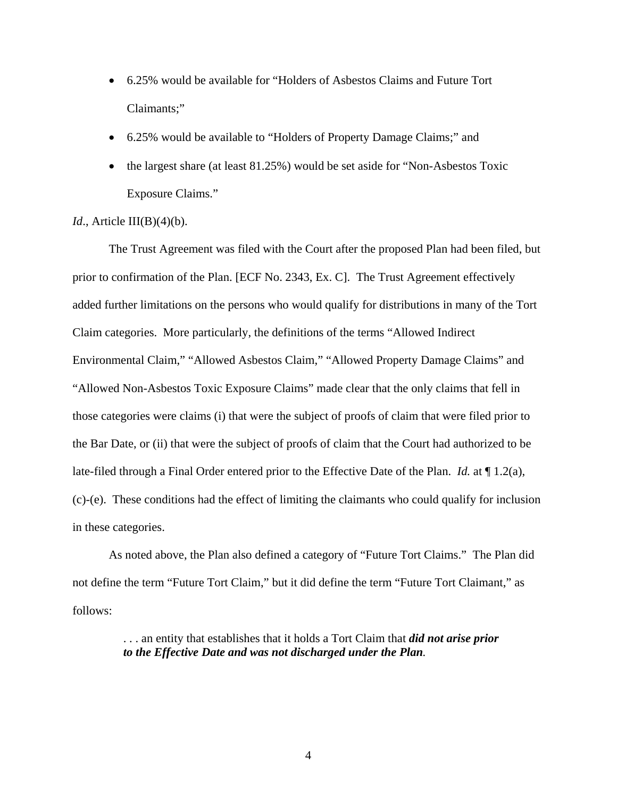- 6.25% would be available for "Holders of Asbestos Claims and Future Tort Claimants;"
- 6.25% would be available to "Holders of Property Damage Claims;" and
- the largest share (at least 81.25%) would be set aside for "Non-Asbestos Toxic Exposure Claims."

## *Id.*, Article III(B)(4)(b).

 The Trust Agreement was filed with the Court after the proposed Plan had been filed, but prior to confirmation of the Plan. [ECF No. 2343, Ex. C]. The Trust Agreement effectively added further limitations on the persons who would qualify for distributions in many of the Tort Claim categories. More particularly, the definitions of the terms "Allowed Indirect Environmental Claim," "Allowed Asbestos Claim," "Allowed Property Damage Claims" and "Allowed Non-Asbestos Toxic Exposure Claims" made clear that the only claims that fell in those categories were claims (i) that were the subject of proofs of claim that were filed prior to the Bar Date, or (ii) that were the subject of proofs of claim that the Court had authorized to be late-filed through a Final Order entered prior to the Effective Date of the Plan. *Id.* at ¶ 1.2(a), (c)-(e). These conditions had the effect of limiting the claimants who could qualify for inclusion in these categories.

 As noted above, the Plan also defined a category of "Future Tort Claims." The Plan did not define the term "Future Tort Claim," but it did define the term "Future Tort Claimant," as follows:

> . . . an entity that establishes that it holds a Tort Claim that *did not arise prior to the Effective Date and was not discharged under the Plan.*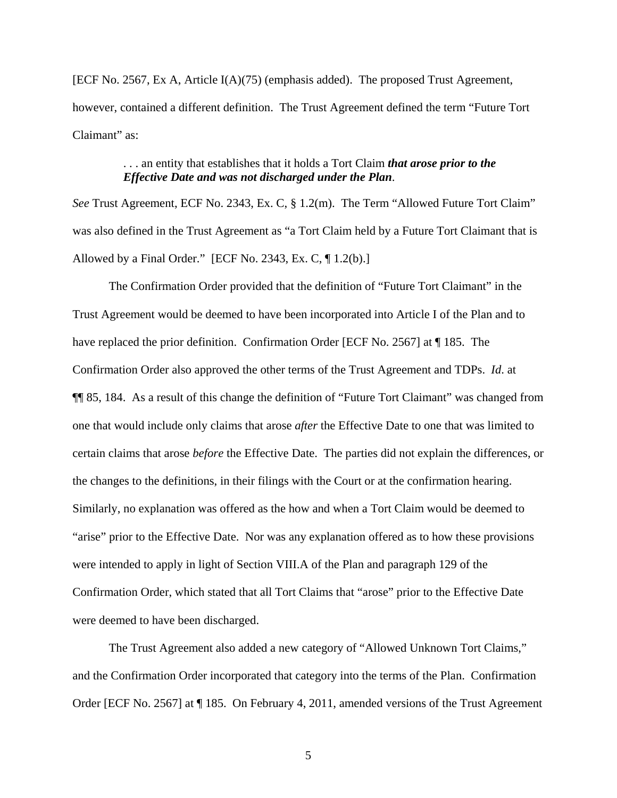[ECF No. 2567, Ex A, Article I(A)(75) (emphasis added). The proposed Trust Agreement, however, contained a different definition. The Trust Agreement defined the term "Future Tort Claimant" as:

# . . . an entity that establishes that it holds a Tort Claim *that arose prior to the Effective Date and was not discharged under the Plan*.

*See* Trust Agreement, ECF No. 2343, Ex. C, § 1.2(m). The Term "Allowed Future Tort Claim" was also defined in the Trust Agreement as "a Tort Claim held by a Future Tort Claimant that is Allowed by a Final Order." [ECF No. 2343, Ex. C, ¶ 1.2(b).]

 The Confirmation Order provided that the definition of "Future Tort Claimant" in the Trust Agreement would be deemed to have been incorporated into Article I of the Plan and to have replaced the prior definition. Confirmation Order [ECF No. 2567] at ¶ 185. The Confirmation Order also approved the other terms of the Trust Agreement and TDPs. *Id*. at ¶¶ 85, 184. As a result of this change the definition of "Future Tort Claimant" was changed from one that would include only claims that arose *after* the Effective Date to one that was limited to certain claims that arose *before* the Effective Date. The parties did not explain the differences, or the changes to the definitions, in their filings with the Court or at the confirmation hearing. Similarly, no explanation was offered as the how and when a Tort Claim would be deemed to "arise" prior to the Effective Date. Nor was any explanation offered as to how these provisions were intended to apply in light of Section VIII.A of the Plan and paragraph 129 of the Confirmation Order, which stated that all Tort Claims that "arose" prior to the Effective Date were deemed to have been discharged.

 The Trust Agreement also added a new category of "Allowed Unknown Tort Claims," and the Confirmation Order incorporated that category into the terms of the Plan. Confirmation Order [ECF No. 2567] at ¶ 185. On February 4, 2011, amended versions of the Trust Agreement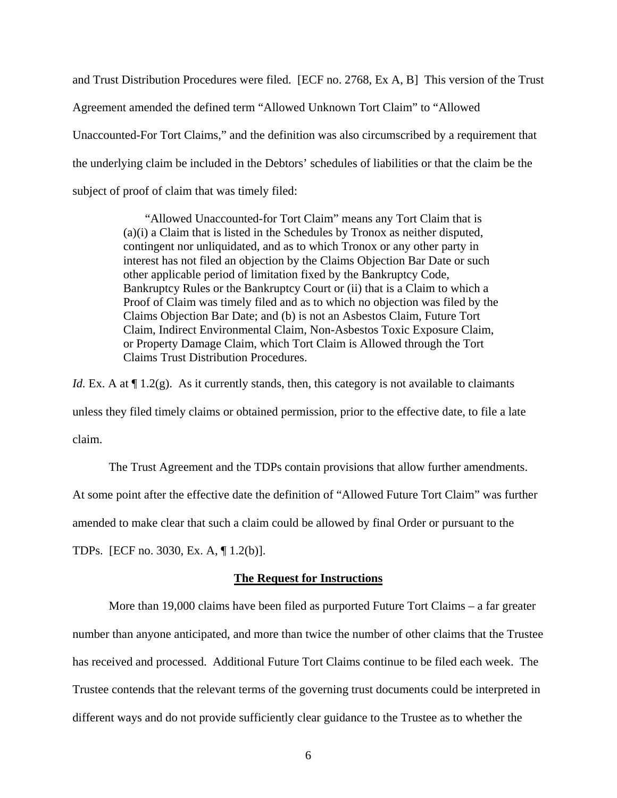and Trust Distribution Procedures were filed. [ECF no. 2768, Ex A, B] This version of the Trust Agreement amended the defined term "Allowed Unknown Tort Claim" to "Allowed Unaccounted-For Tort Claims," and the definition was also circumscribed by a requirement that the underlying claim be included in the Debtors' schedules of liabilities or that the claim be the subject of proof of claim that was timely filed:

> "Allowed Unaccounted-for Tort Claim" means any Tort Claim that is (a)(i) a Claim that is listed in the Schedules by Tronox as neither disputed, contingent nor unliquidated, and as to which Tronox or any other party in interest has not filed an objection by the Claims Objection Bar Date or such other applicable period of limitation fixed by the Bankruptcy Code, Bankruptcy Rules or the Bankruptcy Court or (ii) that is a Claim to which a Proof of Claim was timely filed and as to which no objection was filed by the Claims Objection Bar Date; and (b) is not an Asbestos Claim, Future Tort Claim, Indirect Environmental Claim, Non-Asbestos Toxic Exposure Claim, or Property Damage Claim, which Tort Claim is Allowed through the Tort Claims Trust Distribution Procedures.

*Id.* Ex. A at  $\P$  1.2(g). As it currently stands, then, this category is not available to claimants unless they filed timely claims or obtained permission, prior to the effective date, to file a late claim.

 The Trust Agreement and the TDPs contain provisions that allow further amendments. At some point after the effective date the definition of "Allowed Future Tort Claim" was further amended to make clear that such a claim could be allowed by final Order or pursuant to the

TDPs. [ECF no. 3030, Ex. A, ¶ 1.2(b)].

## **The Request for Instructions**

More than 19,000 claims have been filed as purported Future Tort Claims – a far greater number than anyone anticipated, and more than twice the number of other claims that the Trustee has received and processed. Additional Future Tort Claims continue to be filed each week. The Trustee contends that the relevant terms of the governing trust documents could be interpreted in different ways and do not provide sufficiently clear guidance to the Trustee as to whether the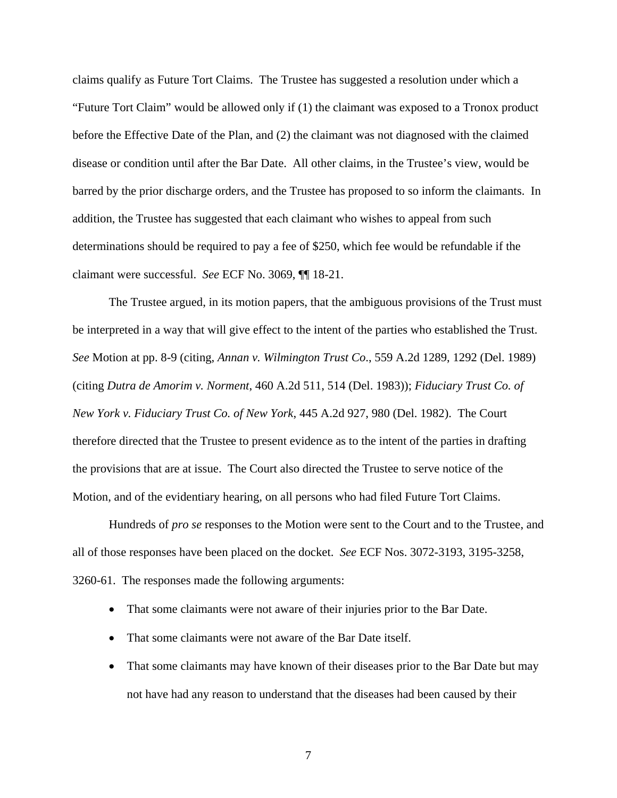claims qualify as Future Tort Claims. The Trustee has suggested a resolution under which a "Future Tort Claim" would be allowed only if (1) the claimant was exposed to a Tronox product before the Effective Date of the Plan, and (2) the claimant was not diagnosed with the claimed disease or condition until after the Bar Date. All other claims, in the Trustee's view, would be barred by the prior discharge orders, and the Trustee has proposed to so inform the claimants. In addition, the Trustee has suggested that each claimant who wishes to appeal from such determinations should be required to pay a fee of \$250, which fee would be refundable if the claimant were successful. *See* ECF No. 3069, ¶¶ 18-21.

The Trustee argued, in its motion papers, that the ambiguous provisions of the Trust must be interpreted in a way that will give effect to the intent of the parties who established the Trust. *See* Motion at pp. 8-9 (citing, *Annan v. Wilmington Trust Co*., 559 A.2d 1289, 1292 (Del. 1989) (citing *Dutra de Amorim v. Norment*, 460 A.2d 511, 514 (Del. 1983)); *Fiduciary Trust Co. of New York v. Fiduciary Trust Co. of New York*, 445 A.2d 927, 980 (Del. 1982). The Court therefore directed that the Trustee to present evidence as to the intent of the parties in drafting the provisions that are at issue. The Court also directed the Trustee to serve notice of the Motion, and of the evidentiary hearing, on all persons who had filed Future Tort Claims.

Hundreds of *pro se* responses to the Motion were sent to the Court and to the Trustee, and all of those responses have been placed on the docket. *See* ECF Nos. 3072-3193, 3195-3258, 3260-61. The responses made the following arguments:

- That some claimants were not aware of their injuries prior to the Bar Date.
- That some claimants were not aware of the Bar Date itself.
- That some claimants may have known of their diseases prior to the Bar Date but may not have had any reason to understand that the diseases had been caused by their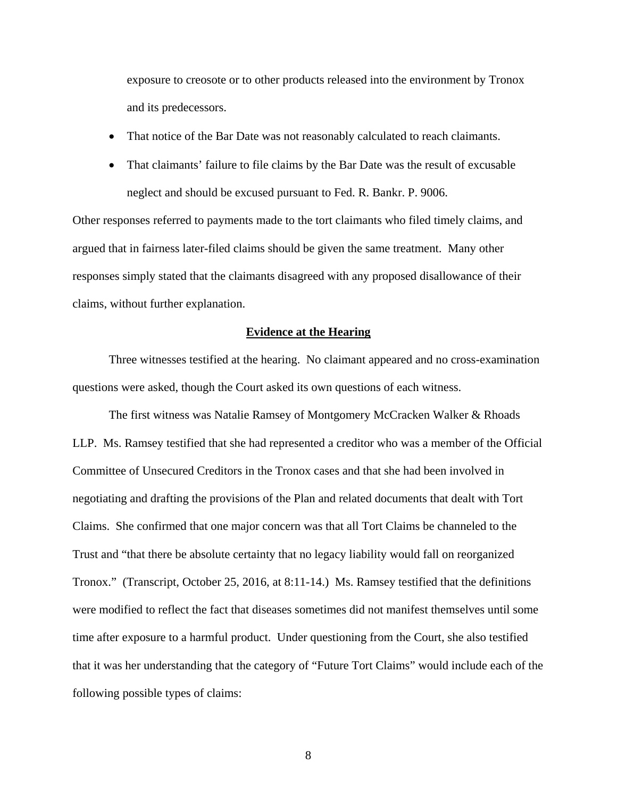exposure to creosote or to other products released into the environment by Tronox and its predecessors.

- That notice of the Bar Date was not reasonably calculated to reach claimants.
- That claimants' failure to file claims by the Bar Date was the result of excusable neglect and should be excused pursuant to Fed. R. Bankr. P. 9006.

Other responses referred to payments made to the tort claimants who filed timely claims, and argued that in fairness later-filed claims should be given the same treatment. Many other responses simply stated that the claimants disagreed with any proposed disallowance of their claims, without further explanation.

### **Evidence at the Hearing**

Three witnesses testified at the hearing. No claimant appeared and no cross-examination questions were asked, though the Court asked its own questions of each witness.

The first witness was Natalie Ramsey of Montgomery McCracken Walker & Rhoads LLP. Ms. Ramsey testified that she had represented a creditor who was a member of the Official Committee of Unsecured Creditors in the Tronox cases and that she had been involved in negotiating and drafting the provisions of the Plan and related documents that dealt with Tort Claims. She confirmed that one major concern was that all Tort Claims be channeled to the Trust and "that there be absolute certainty that no legacy liability would fall on reorganized Tronox." (Transcript, October 25, 2016, at 8:11-14.) Ms. Ramsey testified that the definitions were modified to reflect the fact that diseases sometimes did not manifest themselves until some time after exposure to a harmful product. Under questioning from the Court, she also testified that it was her understanding that the category of "Future Tort Claims" would include each of the following possible types of claims: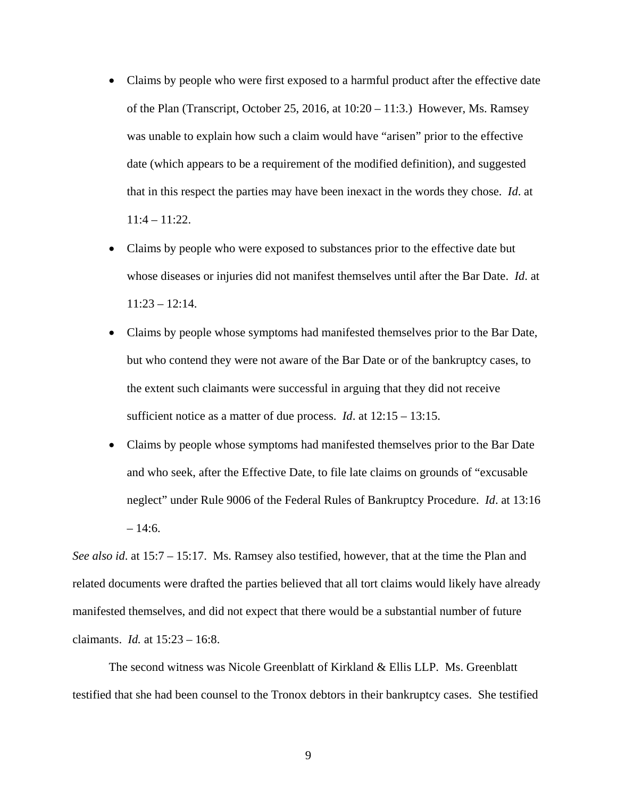- Claims by people who were first exposed to a harmful product after the effective date of the Plan (Transcript, October 25, 2016, at  $10:20 - 11:3$ .) However, Ms. Ramsey was unable to explain how such a claim would have "arisen" prior to the effective date (which appears to be a requirement of the modified definition), and suggested that in this respect the parties may have been inexact in the words they chose. *Id*. at 11:4 – 11:22.
- Claims by people who were exposed to substances prior to the effective date but whose diseases or injuries did not manifest themselves until after the Bar Date. *Id*. at  $11:23 - 12:14$ .
- Claims by people whose symptoms had manifested themselves prior to the Bar Date, but who contend they were not aware of the Bar Date or of the bankruptcy cases, to the extent such claimants were successful in arguing that they did not receive sufficient notice as a matter of due process. *Id*. at 12:15 – 13:15.
- Claims by people whose symptoms had manifested themselves prior to the Bar Date and who seek, after the Effective Date, to file late claims on grounds of "excusable neglect" under Rule 9006 of the Federal Rules of Bankruptcy Procedure. *Id*. at 13:16  $-14:6.$

*See also id*. at 15:7 – 15:17. Ms. Ramsey also testified, however, that at the time the Plan and related documents were drafted the parties believed that all tort claims would likely have already manifested themselves, and did not expect that there would be a substantial number of future claimants. *Id.* at 15:23 – 16:8.

 The second witness was Nicole Greenblatt of Kirkland & Ellis LLP. Ms. Greenblatt testified that she had been counsel to the Tronox debtors in their bankruptcy cases. She testified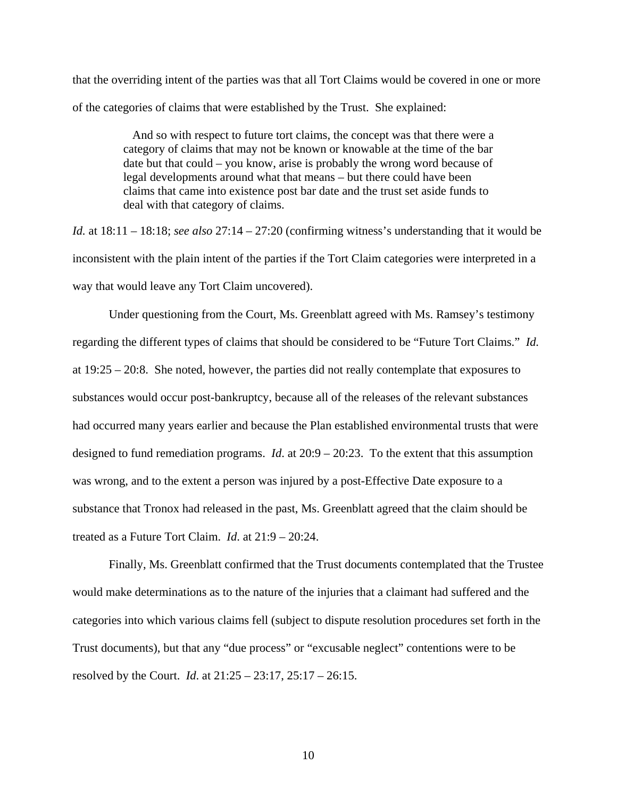that the overriding intent of the parties was that all Tort Claims would be covered in one or more of the categories of claims that were established by the Trust. She explained:

> And so with respect to future tort claims, the concept was that there were a category of claims that may not be known or knowable at the time of the bar date but that could – you know, arise is probably the wrong word because of legal developments around what that means – but there could have been claims that came into existence post bar date and the trust set aside funds to deal with that category of claims.

*Id.* at 18:11 – 18:18; *see also* 27:14 – 27:20 (confirming witness's understanding that it would be inconsistent with the plain intent of the parties if the Tort Claim categories were interpreted in a way that would leave any Tort Claim uncovered).

 Under questioning from the Court, Ms. Greenblatt agreed with Ms. Ramsey's testimony regarding the different types of claims that should be considered to be "Future Tort Claims." *Id.*  at 19:25 – 20:8. She noted, however, the parties did not really contemplate that exposures to substances would occur post-bankruptcy, because all of the releases of the relevant substances had occurred many years earlier and because the Plan established environmental trusts that were designed to fund remediation programs. *Id*. at 20:9 – 20:23. To the extent that this assumption was wrong, and to the extent a person was injured by a post-Effective Date exposure to a substance that Tronox had released in the past, Ms. Greenblatt agreed that the claim should be treated as a Future Tort Claim. *Id*. at 21:9 – 20:24.

 Finally, Ms. Greenblatt confirmed that the Trust documents contemplated that the Trustee would make determinations as to the nature of the injuries that a claimant had suffered and the categories into which various claims fell (subject to dispute resolution procedures set forth in the Trust documents), but that any "due process" or "excusable neglect" contentions were to be resolved by the Court. *Id*. at 21:25 – 23:17, 25:17 – 26:15.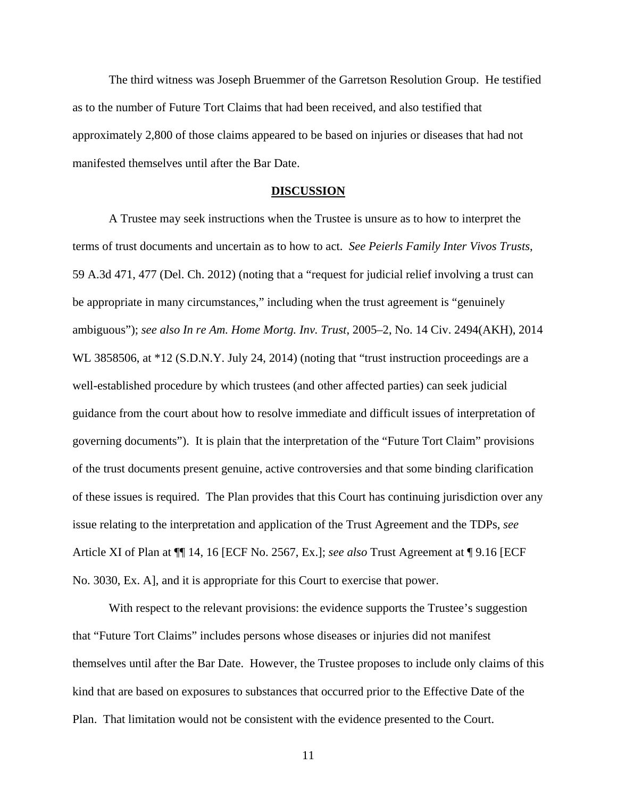The third witness was Joseph Bruemmer of the Garretson Resolution Group. He testified as to the number of Future Tort Claims that had been received, and also testified that approximately 2,800 of those claims appeared to be based on injuries or diseases that had not manifested themselves until after the Bar Date.

#### **DISCUSSION**

 A Trustee may seek instructions when the Trustee is unsure as to how to interpret the terms of trust documents and uncertain as to how to act. *See Peierls Family Inter Vivos Trusts*, 59 A.3d 471, 477 (Del. Ch. 2012) (noting that a "request for judicial relief involving a trust can be appropriate in many circumstances," including when the trust agreement is "genuinely ambiguous"); *see also In re Am. Home Mortg. Inv. Trust*, 2005–2, No. 14 Civ. 2494(AKH), 2014 WL 3858506, at \*12 (S.D.N.Y. July 24, 2014) (noting that "trust instruction proceedings are a well-established procedure by which trustees (and other affected parties) can seek judicial guidance from the court about how to resolve immediate and difficult issues of interpretation of governing documents"). It is plain that the interpretation of the "Future Tort Claim" provisions of the trust documents present genuine, active controversies and that some binding clarification of these issues is required. The Plan provides that this Court has continuing jurisdiction over any issue relating to the interpretation and application of the Trust Agreement and the TDPs, *see*  Article XI of Plan at ¶¶ 14, 16 [ECF No. 2567, Ex.]; *see also* Trust Agreement at ¶ 9.16 [ECF No. 3030, Ex. A], and it is appropriate for this Court to exercise that power.

With respect to the relevant provisions: the evidence supports the Trustee's suggestion that "Future Tort Claims" includes persons whose diseases or injuries did not manifest themselves until after the Bar Date. However, the Trustee proposes to include only claims of this kind that are based on exposures to substances that occurred prior to the Effective Date of the Plan. That limitation would not be consistent with the evidence presented to the Court.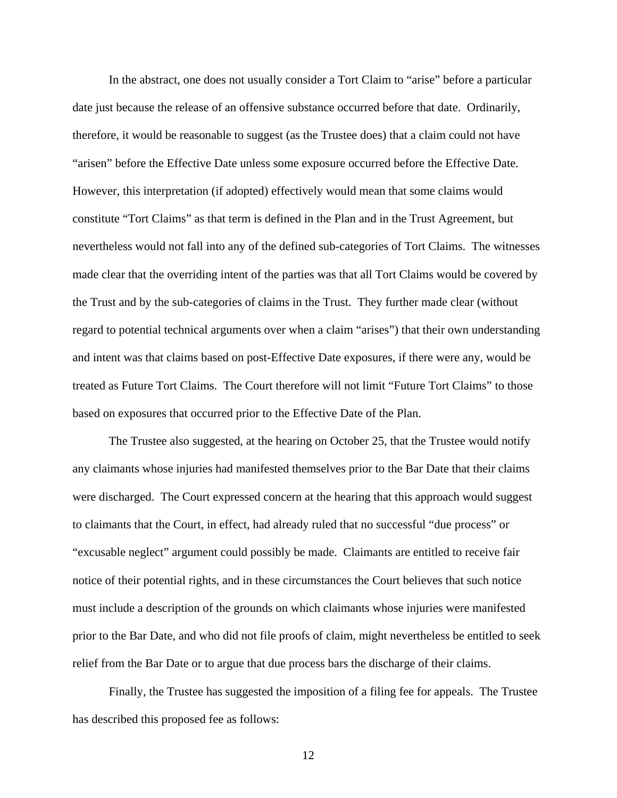In the abstract, one does not usually consider a Tort Claim to "arise" before a particular date just because the release of an offensive substance occurred before that date. Ordinarily, therefore, it would be reasonable to suggest (as the Trustee does) that a claim could not have "arisen" before the Effective Date unless some exposure occurred before the Effective Date. However, this interpretation (if adopted) effectively would mean that some claims would constitute "Tort Claims" as that term is defined in the Plan and in the Trust Agreement, but nevertheless would not fall into any of the defined sub-categories of Tort Claims. The witnesses made clear that the overriding intent of the parties was that all Tort Claims would be covered by the Trust and by the sub-categories of claims in the Trust. They further made clear (without regard to potential technical arguments over when a claim "arises") that their own understanding and intent was that claims based on post-Effective Date exposures, if there were any, would be treated as Future Tort Claims. The Court therefore will not limit "Future Tort Claims" to those based on exposures that occurred prior to the Effective Date of the Plan.

 The Trustee also suggested, at the hearing on October 25, that the Trustee would notify any claimants whose injuries had manifested themselves prior to the Bar Date that their claims were discharged. The Court expressed concern at the hearing that this approach would suggest to claimants that the Court, in effect, had already ruled that no successful "due process" or "excusable neglect" argument could possibly be made. Claimants are entitled to receive fair notice of their potential rights, and in these circumstances the Court believes that such notice must include a description of the grounds on which claimants whose injuries were manifested prior to the Bar Date, and who did not file proofs of claim, might nevertheless be entitled to seek relief from the Bar Date or to argue that due process bars the discharge of their claims.

 Finally, the Trustee has suggested the imposition of a filing fee for appeals. The Trustee has described this proposed fee as follows: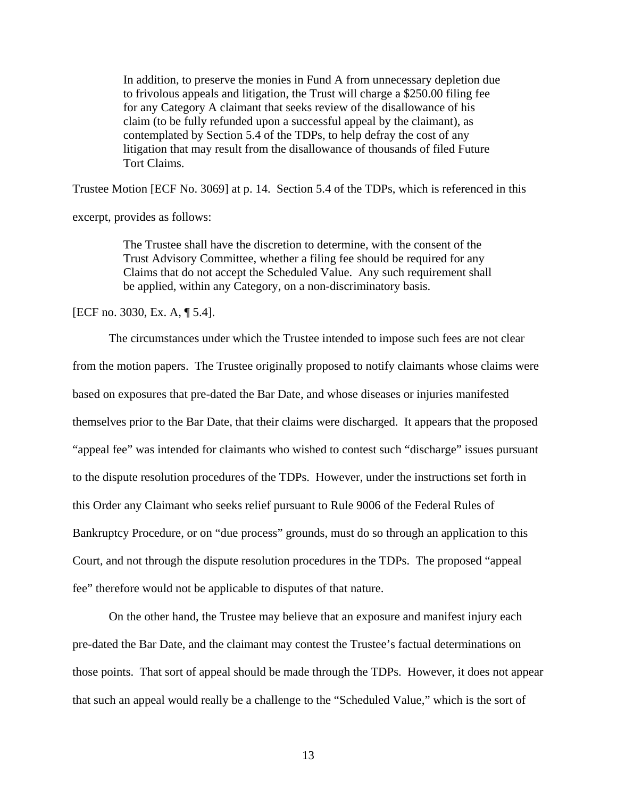In addition, to preserve the monies in Fund A from unnecessary depletion due to frivolous appeals and litigation, the Trust will charge a \$250.00 filing fee for any Category A claimant that seeks review of the disallowance of his claim (to be fully refunded upon a successful appeal by the claimant), as contemplated by Section 5.4 of the TDPs, to help defray the cost of any litigation that may result from the disallowance of thousands of filed Future Tort Claims.

Trustee Motion [ECF No. 3069] at p. 14. Section 5.4 of the TDPs, which is referenced in this

excerpt, provides as follows:

The Trustee shall have the discretion to determine, with the consent of the Trust Advisory Committee, whether a filing fee should be required for any Claims that do not accept the Scheduled Value. Any such requirement shall be applied, within any Category, on a non-discriminatory basis.

[ECF no. 3030, Ex. A, ¶ 5.4].

 The circumstances under which the Trustee intended to impose such fees are not clear from the motion papers. The Trustee originally proposed to notify claimants whose claims were based on exposures that pre-dated the Bar Date, and whose diseases or injuries manifested themselves prior to the Bar Date, that their claims were discharged. It appears that the proposed "appeal fee" was intended for claimants who wished to contest such "discharge" issues pursuant to the dispute resolution procedures of the TDPs. However, under the instructions set forth in this Order any Claimant who seeks relief pursuant to Rule 9006 of the Federal Rules of Bankruptcy Procedure, or on "due process" grounds, must do so through an application to this Court, and not through the dispute resolution procedures in the TDPs. The proposed "appeal fee" therefore would not be applicable to disputes of that nature.

 On the other hand, the Trustee may believe that an exposure and manifest injury each pre-dated the Bar Date, and the claimant may contest the Trustee's factual determinations on those points. That sort of appeal should be made through the TDPs. However, it does not appear that such an appeal would really be a challenge to the "Scheduled Value," which is the sort of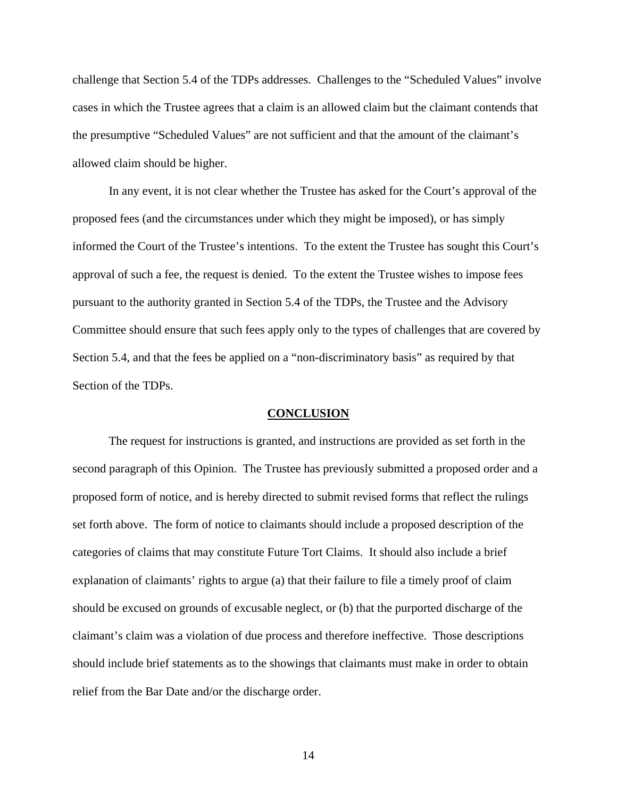challenge that Section 5.4 of the TDPs addresses. Challenges to the "Scheduled Values" involve cases in which the Trustee agrees that a claim is an allowed claim but the claimant contends that the presumptive "Scheduled Values" are not sufficient and that the amount of the claimant's allowed claim should be higher.

 In any event, it is not clear whether the Trustee has asked for the Court's approval of the proposed fees (and the circumstances under which they might be imposed), or has simply informed the Court of the Trustee's intentions. To the extent the Trustee has sought this Court's approval of such a fee, the request is denied. To the extent the Trustee wishes to impose fees pursuant to the authority granted in Section 5.4 of the TDPs, the Trustee and the Advisory Committee should ensure that such fees apply only to the types of challenges that are covered by Section 5.4, and that the fees be applied on a "non-discriminatory basis" as required by that Section of the TDPs.

#### **CONCLUSION**

 The request for instructions is granted, and instructions are provided as set forth in the second paragraph of this Opinion. The Trustee has previously submitted a proposed order and a proposed form of notice, and is hereby directed to submit revised forms that reflect the rulings set forth above. The form of notice to claimants should include a proposed description of the categories of claims that may constitute Future Tort Claims. It should also include a brief explanation of claimants' rights to argue (a) that their failure to file a timely proof of claim should be excused on grounds of excusable neglect, or (b) that the purported discharge of the claimant's claim was a violation of due process and therefore ineffective. Those descriptions should include brief statements as to the showings that claimants must make in order to obtain relief from the Bar Date and/or the discharge order.